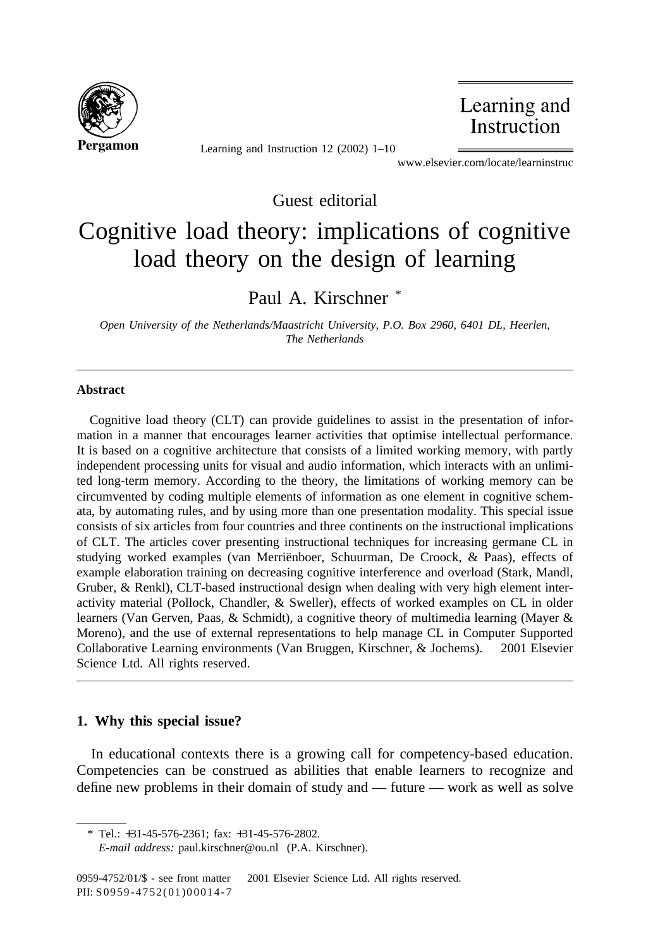

Learning and Instruction 12 (2002) 1–10

Learning and Instruction

www.elsevier.com/locate/learninstruc

Guest editorial

# Cognitive load theory: implications of cognitive load theory on the design of learning

# Paul A. Kirschner \*

*Open University of the Netherlands/Maastricht University, P.O. Box 2960, 6401 DL, Heerlen, The Netherlands*

#### **Abstract**

Cognitive load theory (CLT) can provide guidelines to assist in the presentation of information in a manner that encourages learner activities that optimise intellectual performance. It is based on a cognitive architecture that consists of a limited working memory, with partly independent processing units for visual and audio information, which interacts with an unlimited long-term memory. According to the theory, the limitations of working memory can be circumvented by coding multiple elements of information as one element in cognitive schemata, by automating rules, and by using more than one presentation modality. This special issue consists of six articles from four countries and three continents on the instructional implications of CLT. The articles cover presenting instructional techniques for increasing germane CL in studying worked examples (van Merriënboer, Schuurman, De Croock, & Paas), effects of example elaboration training on decreasing cognitive interference and overload (Stark, Mandl, Gruber, & Renkl), CLT-based instructional design when dealing with very high element interactivity material (Pollock, Chandler, & Sweller), effects of worked examples on CL in older learners (Van Gerven, Paas, & Schmidt), a cognitive theory of multimedia learning (Mayer & Moreno), and the use of external representations to help manage CL in Computer Supported Collaborative Learning environments (Van Bruggen, Kirschner, & Jochems). © 2001 Elsevier Science Ltd. All rights reserved.

# **1. Why this special issue?**

In educational contexts there is a growing call for competency-based education. Competencies can be construed as abilities that enable learners to recognize and define new problems in their domain of study and — future — work as well as solve

<sup>\*</sup> Tel.: +31-45-576-2361; fax: +31-45-576-2802.

*E-mail address:* paul.kirschner@ou.nl (P.A. Kirschner).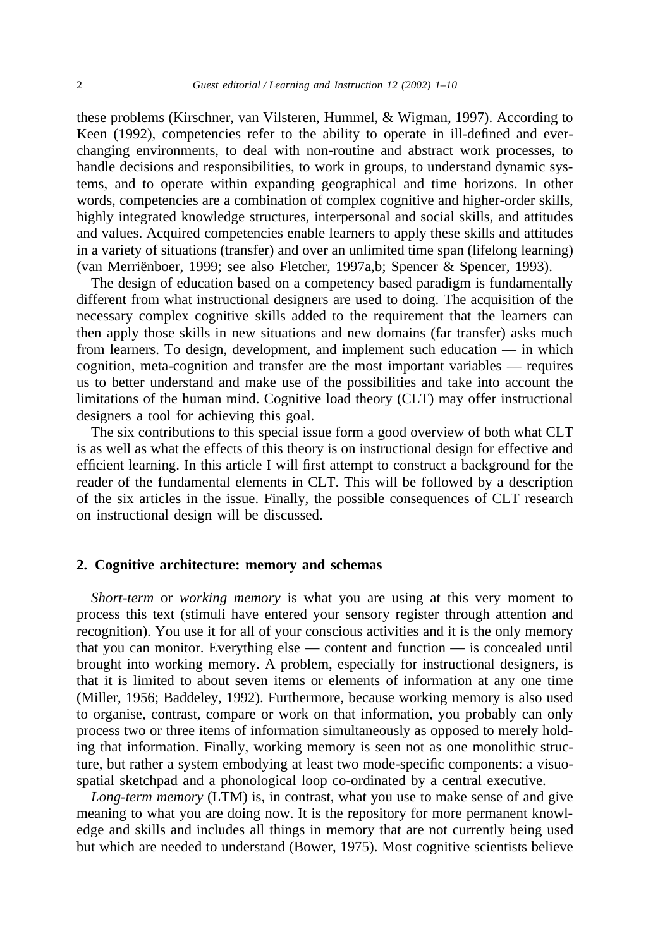these problems (Kirschner, van Vilsteren, Hummel, & Wigman, 1997). According to Keen (1992), competencies refer to the ability to operate in ill-defined and everchanging environments, to deal with non-routine and abstract work processes, to handle decisions and responsibilities, to work in groups, to understand dynamic systems, and to operate within expanding geographical and time horizons. In other words, competencies are a combination of complex cognitive and higher-order skills, highly integrated knowledge structures, interpersonal and social skills, and attitudes and values. Acquired competencies enable learners to apply these skills and attitudes in a variety of situations (transfer) and over an unlimited time span (lifelong learning) (van Merriënboer, 1999; see also Fletcher, 1997a,b; Spencer & Spencer, 1993).

The design of education based on a competency based paradigm is fundamentally different from what instructional designers are used to doing. The acquisition of the necessary complex cognitive skills added to the requirement that the learners can then apply those skills in new situations and new domains (far transfer) asks much from learners. To design, development, and implement such education — in which cognition, meta-cognition and transfer are the most important variables — requires us to better understand and make use of the possibilities and take into account the limitations of the human mind. Cognitive load theory (CLT) may offer instructional designers a tool for achieving this goal.

The six contributions to this special issue form a good overview of both what CLT is as well as what the effects of this theory is on instructional design for effective and efficient learning. In this article I will first attempt to construct a background for the reader of the fundamental elements in CLT. This will be followed by a description of the six articles in the issue. Finally, the possible consequences of CLT research on instructional design will be discussed.

# **2. Cognitive architecture: memory and schemas**

*Short-term* or *working memory* is what you are using at this very moment to process this text (stimuli have entered your sensory register through attention and recognition). You use it for all of your conscious activities and it is the only memory that you can monitor. Everything else — content and function — is concealed until brought into working memory. A problem, especially for instructional designers, is that it is limited to about seven items or elements of information at any one time (Miller, 1956; Baddeley, 1992). Furthermore, because working memory is also used to organise, contrast, compare or work on that information, you probably can only process two or three items of information simultaneously as opposed to merely holding that information. Finally, working memory is seen not as one monolithic structure, but rather a system embodying at least two mode-specific components: a visuospatial sketchpad and a phonological loop co-ordinated by a central executive.

*Long-term memory* (LTM) is, in contrast, what you use to make sense of and give meaning to what you are doing now. It is the repository for more permanent knowledge and skills and includes all things in memory that are not currently being used but which are needed to understand (Bower, 1975). Most cognitive scientists believe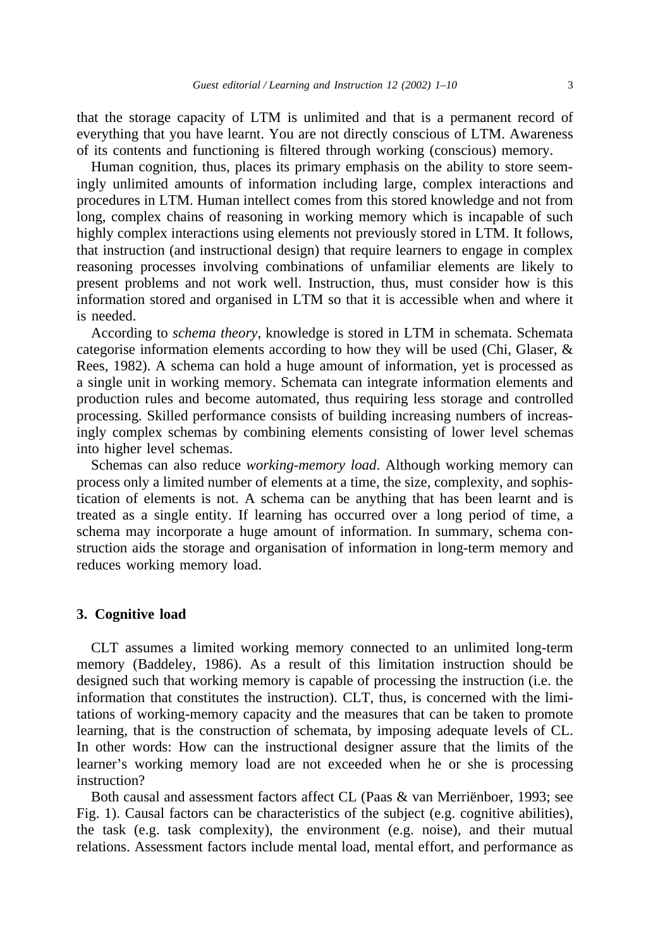that the storage capacity of LTM is unlimited and that is a permanent record of everything that you have learnt. You are not directly conscious of LTM. Awareness of its contents and functioning is filtered through working (conscious) memory.

Human cognition, thus, places its primary emphasis on the ability to store seemingly unlimited amounts of information including large, complex interactions and procedures in LTM. Human intellect comes from this stored knowledge and not from long, complex chains of reasoning in working memory which is incapable of such highly complex interactions using elements not previously stored in LTM. It follows, that instruction (and instructional design) that require learners to engage in complex reasoning processes involving combinations of unfamiliar elements are likely to present problems and not work well. Instruction, thus, must consider how is this information stored and organised in LTM so that it is accessible when and where it is needed.

According to *schema theory*, knowledge is stored in LTM in schemata. Schemata categorise information elements according to how they will be used (Chi, Glaser, & Rees, 1982). A schema can hold a huge amount of information, yet is processed as a single unit in working memory. Schemata can integrate information elements and production rules and become automated, thus requiring less storage and controlled processing. Skilled performance consists of building increasing numbers of increasingly complex schemas by combining elements consisting of lower level schemas into higher level schemas.

Schemas can also reduce *working-memory load*. Although working memory can process only a limited number of elements at a time, the size, complexity, and sophistication of elements is not. A schema can be anything that has been learnt and is treated as a single entity. If learning has occurred over a long period of time, a schema may incorporate a huge amount of information. In summary, schema construction aids the storage and organisation of information in long-term memory and reduces working memory load.

# **3. Cognitive load**

CLT assumes a limited working memory connected to an unlimited long-term memory (Baddeley, 1986). As a result of this limitation instruction should be designed such that working memory is capable of processing the instruction (i.e. the information that constitutes the instruction). CLT, thus, is concerned with the limitations of working-memory capacity and the measures that can be taken to promote learning, that is the construction of schemata, by imposing adequate levels of CL. In other words: How can the instructional designer assure that the limits of the learner's working memory load are not exceeded when he or she is processing instruction?

Both causal and assessment factors affect CL (Paas  $\&$  van Merrienboer, 1993; see Fig. 1). Causal factors can be characteristics of the subject (e.g. cognitive abilities), the task (e.g. task complexity), the environment (e.g. noise), and their mutual relations. Assessment factors include mental load, mental effort, and performance as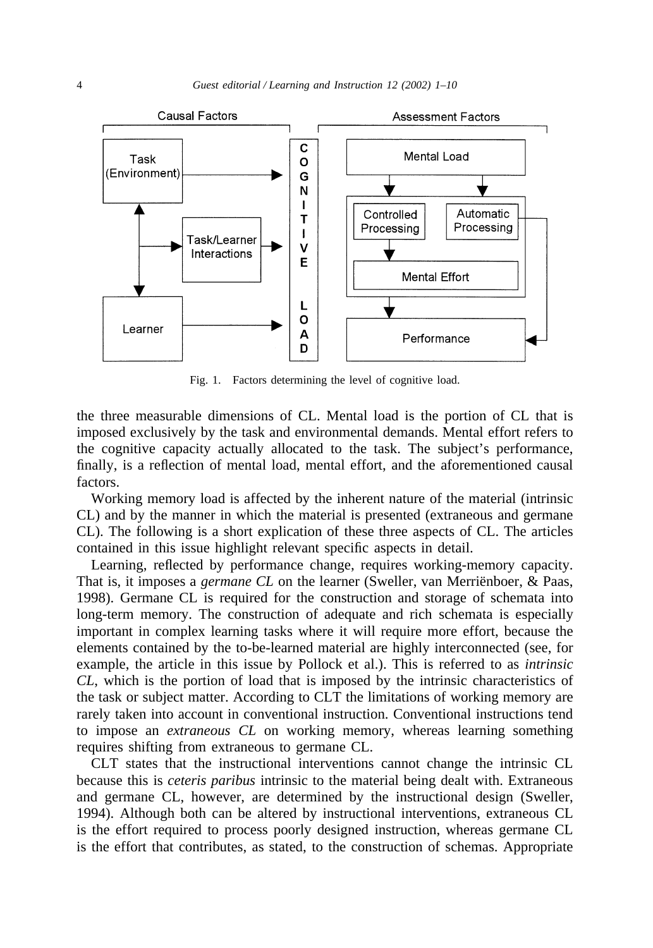

Fig. 1. Factors determining the level of cognitive load.

the three measurable dimensions of CL. Mental load is the portion of CL that is imposed exclusively by the task and environmental demands. Mental effort refers to the cognitive capacity actually allocated to the task. The subject's performance, finally, is a reflection of mental load, mental effort, and the aforementioned causal factors.

Working memory load is affected by the inherent nature of the material (intrinsic CL) and by the manner in which the material is presented (extraneous and germane CL). The following is a short explication of these three aspects of CL. The articles contained in this issue highlight relevant specific aspects in detail.

Learning, reflected by performance change, requires working-memory capacity. That is, it imposes a *germane CL* on the learner (Sweller, van Merrienboer, & Paas, 1998). Germane CL is required for the construction and storage of schemata into long-term memory. The construction of adequate and rich schemata is especially important in complex learning tasks where it will require more effort, because the elements contained by the to-be-learned material are highly interconnected (see, for example, the article in this issue by Pollock et al.). This is referred to as *intrinsic CL*, which is the portion of load that is imposed by the intrinsic characteristics of the task or subject matter. According to CLT the limitations of working memory are rarely taken into account in conventional instruction. Conventional instructions tend to impose an *extraneous CL* on working memory, whereas learning something requires shifting from extraneous to germane CL.

CLT states that the instructional interventions cannot change the intrinsic CL because this is *ceteris paribus* intrinsic to the material being dealt with. Extraneous and germane CL, however, are determined by the instructional design (Sweller, 1994). Although both can be altered by instructional interventions, extraneous CL is the effort required to process poorly designed instruction, whereas germane CL is the effort that contributes, as stated, to the construction of schemas. Appropriate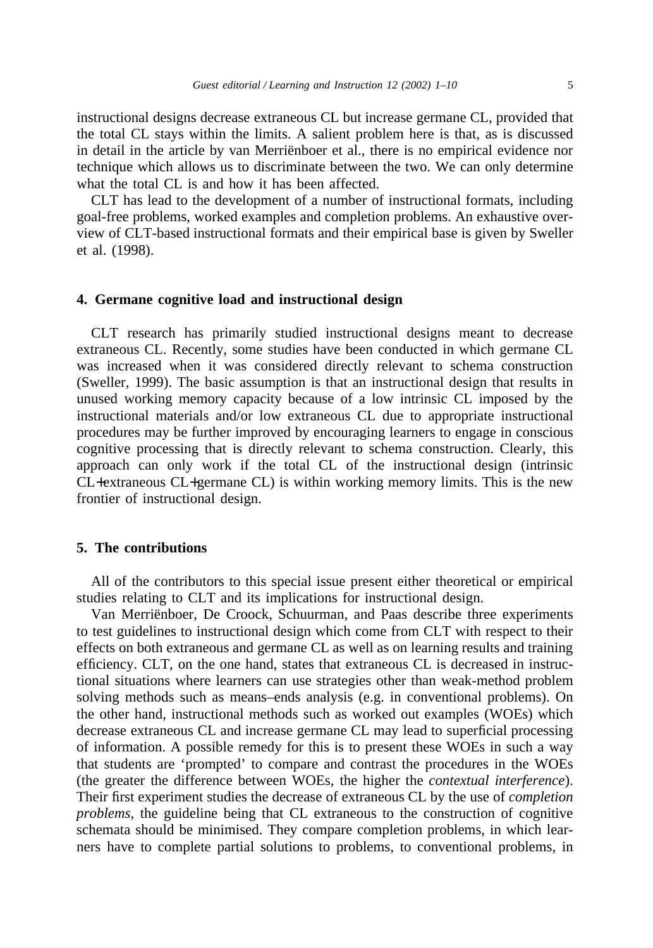instructional designs decrease extraneous CL but increase germane CL, provided that the total CL stays within the limits. A salient problem here is that, as is discussed in detail in the article by van Merriënboer et al., there is no empirical evidence nor technique which allows us to discriminate between the two. We can only determine what the total CL is and how it has been affected.

CLT has lead to the development of a number of instructional formats, including goal-free problems, worked examples and completion problems. An exhaustive overview of CLT-based instructional formats and their empirical base is given by Sweller et al. (1998).

# **4. Germane cognitive load and instructional design**

CLT research has primarily studied instructional designs meant to decrease extraneous CL. Recently, some studies have been conducted in which germane CL was increased when it was considered directly relevant to schema construction (Sweller, 1999). The basic assumption is that an instructional design that results in unused working memory capacity because of a low intrinsic CL imposed by the instructional materials and/or low extraneous CL due to appropriate instructional procedures may be further improved by encouraging learners to engage in conscious cognitive processing that is directly relevant to schema construction. Clearly, this approach can only work if the total CL of the instructional design (intrinsic CL+extraneous CL+germane CL) is within working memory limits. This is the new frontier of instructional design.

## **5. The contributions**

All of the contributors to this special issue present either theoretical or empirical studies relating to CLT and its implications for instructional design.

Van Merriënboer, De Croock, Schuurman, and Paas describe three experiments to test guidelines to instructional design which come from CLT with respect to their effects on both extraneous and germane CL as well as on learning results and training efficiency. CLT, on the one hand, states that extraneous CL is decreased in instructional situations where learners can use strategies other than weak-method problem solving methods such as means–ends analysis (e.g. in conventional problems). On the other hand, instructional methods such as worked out examples (WOEs) which decrease extraneous CL and increase germane CL may lead to superficial processing of information. A possible remedy for this is to present these WOEs in such a way that students are 'prompted' to compare and contrast the procedures in the WOEs (the greater the difference between WOEs, the higher the *contextual interference*). Their first experiment studies the decrease of extraneous CL by the use of *completion problems*, the guideline being that CL extraneous to the construction of cognitive schemata should be minimised. They compare completion problems, in which learners have to complete partial solutions to problems, to conventional problems, in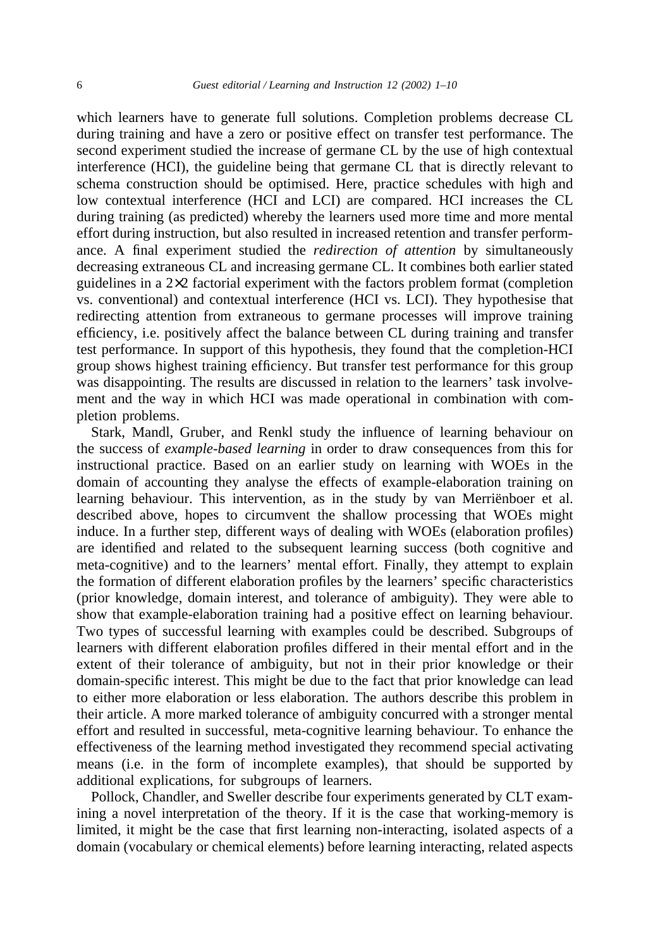which learners have to generate full solutions. Completion problems decrease CL during training and have a zero or positive effect on transfer test performance. The second experiment studied the increase of germane CL by the use of high contextual interference (HCI), the guideline being that germane CL that is directly relevant to schema construction should be optimised. Here, practice schedules with high and low contextual interference (HCI and LCI) are compared. HCI increases the CL during training (as predicted) whereby the learners used more time and more mental effort during instruction, but also resulted in increased retention and transfer performance. A final experiment studied the *redirection of attention* by simultaneously decreasing extraneous CL and increasing germane CL. It combines both earlier stated guidelines in a 2×2 factorial experiment with the factors problem format (completion vs. conventional) and contextual interference (HCI vs. LCI). They hypothesise that redirecting attention from extraneous to germane processes will improve training efficiency, i.e. positively affect the balance between CL during training and transfer test performance. In support of this hypothesis, they found that the completion-HCI group shows highest training efficiency. But transfer test performance for this group was disappointing. The results are discussed in relation to the learners' task involvement and the way in which HCI was made operational in combination with completion problems.

Stark, Mandl, Gruber, and Renkl study the influence of learning behaviour on the success of *example-based learning* in order to draw consequences from this for instructional practice. Based on an earlier study on learning with WOEs in the domain of accounting they analyse the effects of example-elaboration training on learning behaviour. This intervention, as in the study by van Merrienboer et al. described above, hopes to circumvent the shallow processing that WOEs might induce. In a further step, different ways of dealing with WOEs (elaboration profiles) are identified and related to the subsequent learning success (both cognitive and meta-cognitive) and to the learners' mental effort. Finally, they attempt to explain the formation of different elaboration profiles by the learners' specific characteristics (prior knowledge, domain interest, and tolerance of ambiguity). They were able to show that example-elaboration training had a positive effect on learning behaviour. Two types of successful learning with examples could be described. Subgroups of learners with different elaboration profiles differed in their mental effort and in the extent of their tolerance of ambiguity, but not in their prior knowledge or their domain-specific interest. This might be due to the fact that prior knowledge can lead to either more elaboration or less elaboration. The authors describe this problem in their article. A more marked tolerance of ambiguity concurred with a stronger mental effort and resulted in successful, meta-cognitive learning behaviour. To enhance the effectiveness of the learning method investigated they recommend special activating means (i.e. in the form of incomplete examples), that should be supported by additional explications, for subgroups of learners.

Pollock, Chandler, and Sweller describe four experiments generated by CLT examining a novel interpretation of the theory. If it is the case that working-memory is limited, it might be the case that first learning non-interacting, isolated aspects of a domain (vocabulary or chemical elements) before learning interacting, related aspects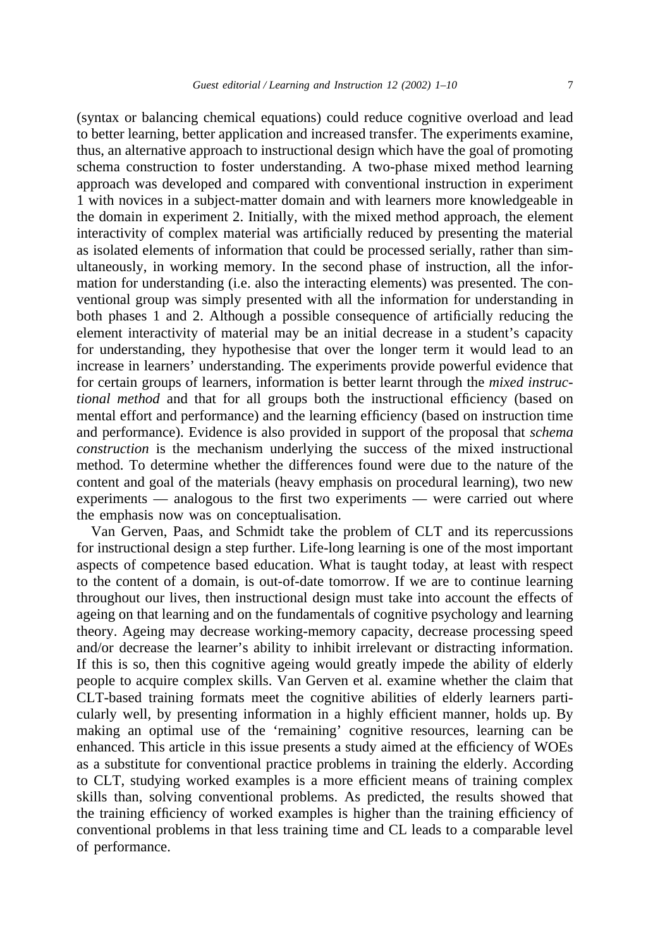(syntax or balancing chemical equations) could reduce cognitive overload and lead to better learning, better application and increased transfer. The experiments examine, thus, an alternative approach to instructional design which have the goal of promoting schema construction to foster understanding. A two-phase mixed method learning approach was developed and compared with conventional instruction in experiment 1 with novices in a subject-matter domain and with learners more knowledgeable in the domain in experiment 2. Initially, with the mixed method approach, the element interactivity of complex material was artificially reduced by presenting the material as isolated elements of information that could be processed serially, rather than simultaneously, in working memory. In the second phase of instruction, all the information for understanding (i.e. also the interacting elements) was presented. The conventional group was simply presented with all the information for understanding in both phases 1 and 2. Although a possible consequence of artificially reducing the element interactivity of material may be an initial decrease in a student's capacity for understanding, they hypothesise that over the longer term it would lead to an increase in learners' understanding. The experiments provide powerful evidence that for certain groups of learners, information is better learnt through the *mixed instructional method* and that for all groups both the instructional efficiency (based on mental effort and performance) and the learning efficiency (based on instruction time and performance). Evidence is also provided in support of the proposal that *schema construction* is the mechanism underlying the success of the mixed instructional method. To determine whether the differences found were due to the nature of the content and goal of the materials (heavy emphasis on procedural learning), two new experiments — analogous to the first two experiments — were carried out where the emphasis now was on conceptualisation.

Van Gerven, Paas, and Schmidt take the problem of CLT and its repercussions for instructional design a step further. Life-long learning is one of the most important aspects of competence based education. What is taught today, at least with respect to the content of a domain, is out-of-date tomorrow. If we are to continue learning throughout our lives, then instructional design must take into account the effects of ageing on that learning and on the fundamentals of cognitive psychology and learning theory. Ageing may decrease working-memory capacity, decrease processing speed and/or decrease the learner's ability to inhibit irrelevant or distracting information. If this is so, then this cognitive ageing would greatly impede the ability of elderly people to acquire complex skills. Van Gerven et al. examine whether the claim that CLT-based training formats meet the cognitive abilities of elderly learners particularly well, by presenting information in a highly efficient manner, holds up. By making an optimal use of the 'remaining' cognitive resources, learning can be enhanced. This article in this issue presents a study aimed at the efficiency of WOEs as a substitute for conventional practice problems in training the elderly. According to CLT, studying worked examples is a more efficient means of training complex skills than, solving conventional problems. As predicted, the results showed that the training efficiency of worked examples is higher than the training efficiency of conventional problems in that less training time and CL leads to a comparable level of performance.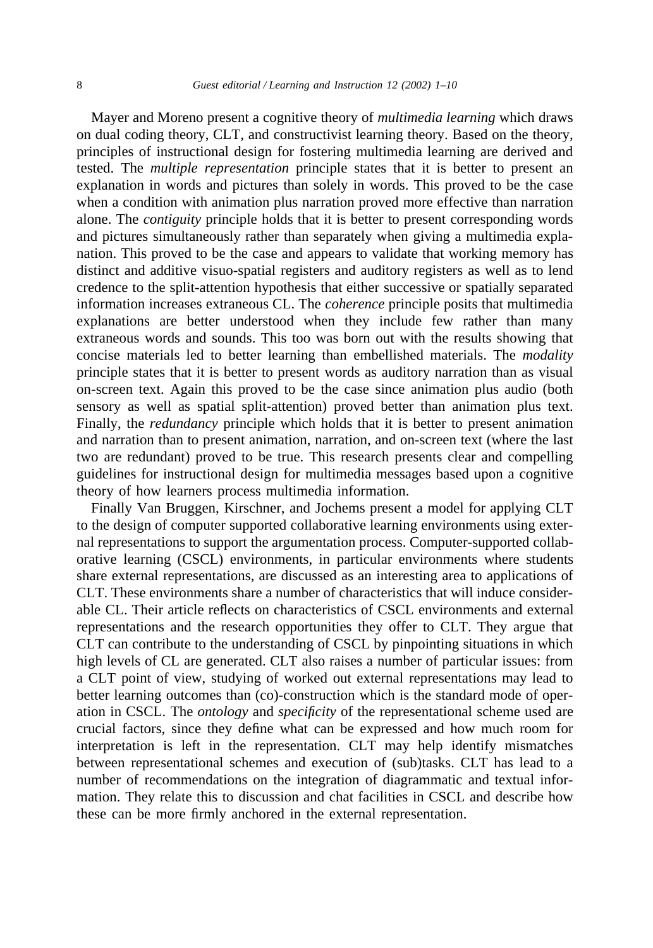Mayer and Moreno present a cognitive theory of *multimedia learning* which draws on dual coding theory, CLT, and constructivist learning theory. Based on the theory, principles of instructional design for fostering multimedia learning are derived and tested. The *multiple representation* principle states that it is better to present an explanation in words and pictures than solely in words. This proved to be the case when a condition with animation plus narration proved more effective than narration alone. The *contiguity* principle holds that it is better to present corresponding words and pictures simultaneously rather than separately when giving a multimedia explanation. This proved to be the case and appears to validate that working memory has distinct and additive visuo-spatial registers and auditory registers as well as to lend credence to the split-attention hypothesis that either successive or spatially separated information increases extraneous CL. The *coherence* principle posits that multimedia explanations are better understood when they include few rather than many extraneous words and sounds. This too was born out with the results showing that concise materials led to better learning than embellished materials. The *modality* principle states that it is better to present words as auditory narration than as visual on-screen text. Again this proved to be the case since animation plus audio (both sensory as well as spatial split-attention) proved better than animation plus text. Finally, the *redundancy* principle which holds that it is better to present animation and narration than to present animation, narration, and on-screen text (where the last two are redundant) proved to be true. This research presents clear and compelling guidelines for instructional design for multimedia messages based upon a cognitive theory of how learners process multimedia information.

Finally Van Bruggen, Kirschner, and Jochems present a model for applying CLT to the design of computer supported collaborative learning environments using external representations to support the argumentation process. Computer-supported collaborative learning (CSCL) environments, in particular environments where students share external representations, are discussed as an interesting area to applications of CLT. These environments share a number of characteristics that will induce considerable CL. Their article reflects on characteristics of CSCL environments and external representations and the research opportunities they offer to CLT. They argue that CLT can contribute to the understanding of CSCL by pinpointing situations in which high levels of CL are generated. CLT also raises a number of particular issues: from a CLT point of view, studying of worked out external representations may lead to better learning outcomes than (co)-construction which is the standard mode of operation in CSCL. The *ontology* and *specificity* of the representational scheme used are crucial factors, since they define what can be expressed and how much room for interpretation is left in the representation. CLT may help identify mismatches between representational schemes and execution of (sub)tasks. CLT has lead to a number of recommendations on the integration of diagrammatic and textual information. They relate this to discussion and chat facilities in CSCL and describe how these can be more firmly anchored in the external representation.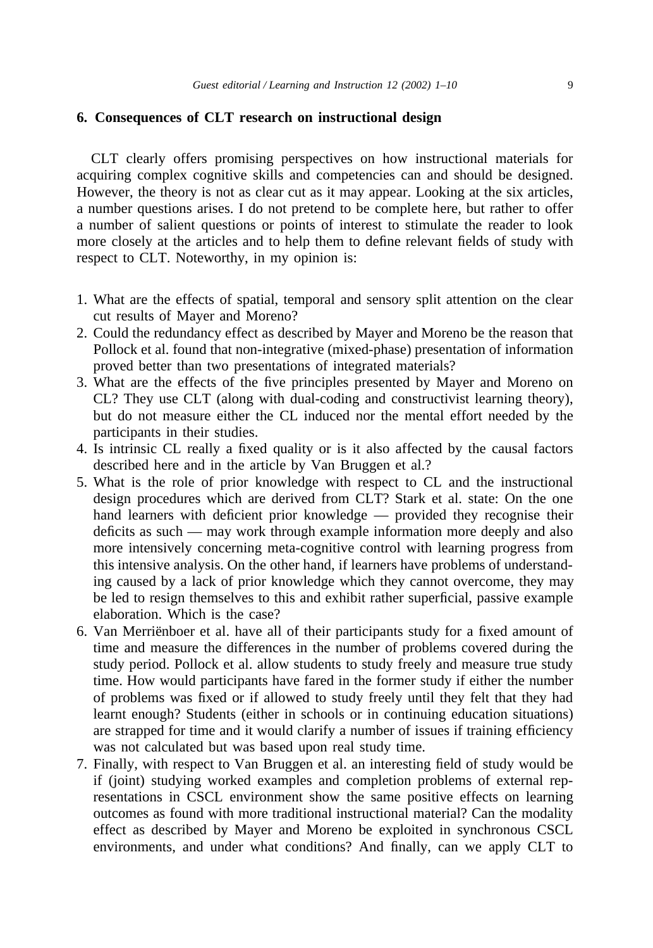# **6. Consequences of CLT research on instructional design**

CLT clearly offers promising perspectives on how instructional materials for acquiring complex cognitive skills and competencies can and should be designed. However, the theory is not as clear cut as it may appear. Looking at the six articles, a number questions arises. I do not pretend to be complete here, but rather to offer a number of salient questions or points of interest to stimulate the reader to look more closely at the articles and to help them to define relevant fields of study with respect to CLT. Noteworthy, in my opinion is:

- 1. What are the effects of spatial, temporal and sensory split attention on the clear cut results of Mayer and Moreno?
- 2. Could the redundancy effect as described by Mayer and Moreno be the reason that Pollock et al. found that non-integrative (mixed-phase) presentation of information proved better than two presentations of integrated materials?
- 3. What are the effects of the five principles presented by Mayer and Moreno on CL? They use CLT (along with dual-coding and constructivist learning theory), but do not measure either the CL induced nor the mental effort needed by the participants in their studies.
- 4. Is intrinsic CL really a fixed quality or is it also affected by the causal factors described here and in the article by Van Bruggen et al.?
- 5. What is the role of prior knowledge with respect to CL and the instructional design procedures which are derived from CLT? Stark et al. state: On the one hand learners with deficient prior knowledge — provided they recognise their deficits as such — may work through example information more deeply and also more intensively concerning meta-cognitive control with learning progress from this intensive analysis. On the other hand, if learners have problems of understanding caused by a lack of prior knowledge which they cannot overcome, they may be led to resign themselves to this and exhibit rather superficial, passive example elaboration. Which is the case?
- 6. Van Merrienboer et al. have all of their participants study for a fixed amount of time and measure the differences in the number of problems covered during the study period. Pollock et al. allow students to study freely and measure true study time. How would participants have fared in the former study if either the number of problems was fixed or if allowed to study freely until they felt that they had learnt enough? Students (either in schools or in continuing education situations) are strapped for time and it would clarify a number of issues if training efficiency was not calculated but was based upon real study time.
- 7. Finally, with respect to Van Bruggen et al. an interesting field of study would be if (joint) studying worked examples and completion problems of external representations in CSCL environment show the same positive effects on learning outcomes as found with more traditional instructional material? Can the modality effect as described by Mayer and Moreno be exploited in synchronous CSCL environments, and under what conditions? And finally, can we apply CLT to